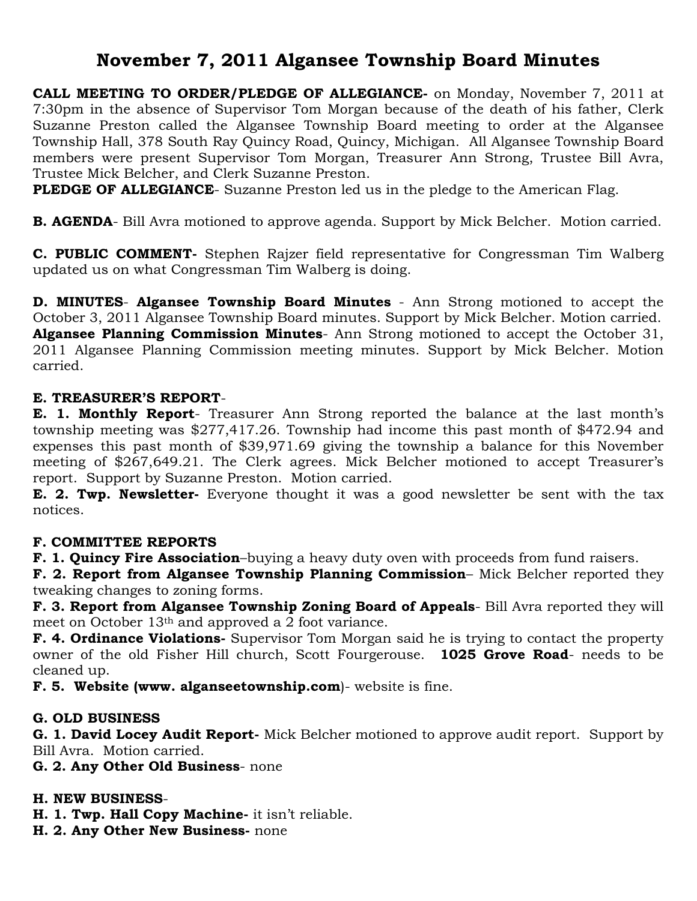# **November 7, 2011 Algansee Township Board Minutes**

**CALL MEETING TO ORDER/PLEDGE OF ALLEGIANCE-** on Monday, November 7, 2011 at 7:30pm in the absence of Supervisor Tom Morgan because of the death of his father, Clerk Suzanne Preston called the Algansee Township Board meeting to order at the Algansee Township Hall, 378 South Ray Quincy Road, Quincy, Michigan. All Algansee Township Board members were present Supervisor Tom Morgan, Treasurer Ann Strong, Trustee Bill Avra, Trustee Mick Belcher, and Clerk Suzanne Preston.

**PLEDGE OF ALLEGIANCE**- Suzanne Preston led us in the pledge to the American Flag.

**B. AGENDA**- Bill Avra motioned to approve agenda. Support by Mick Belcher. Motion carried.

**C. PUBLIC COMMENT-** Stephen Rajzer field representative for Congressman Tim Walberg updated us on what Congressman Tim Walberg is doing.

**D. MINUTES**- **Algansee Township Board Minutes** - Ann Strong motioned to accept the October 3, 2011 Algansee Township Board minutes. Support by Mick Belcher. Motion carried. **Algansee Planning Commission Minutes**- Ann Strong motioned to accept the October 31, 2011 Algansee Planning Commission meeting minutes. Support by Mick Belcher. Motion carried.

#### **E. TREASURER'S REPORT**-

**E. 1. Monthly Report**- Treasurer Ann Strong reported the balance at the last month's township meeting was \$277,417.26. Township had income this past month of \$472.94 and expenses this past month of \$39,971.69 giving the township a balance for this November meeting of \$267,649.21. The Clerk agrees. Mick Belcher motioned to accept Treasurer's report. Support by Suzanne Preston. Motion carried.

**E. 2. Twp. Newsletter-** Everyone thought it was a good newsletter be sent with the tax notices.

### **F. COMMITTEE REPORTS**

**F. 1. Quincy Fire Association**–buying a heavy duty oven with proceeds from fund raisers.

**F. 2. Report from Algansee Township Planning Commission**– Mick Belcher reported they tweaking changes to zoning forms.

**F. 3. Report from Algansee Township Zoning Board of Appeals**- Bill Avra reported they will meet on October 13th and approved a 2 foot variance.

**F. 4. Ordinance Violations-** Supervisor Tom Morgan said he is trying to contact the property owner of the old Fisher Hill church, Scott Fourgerouse. **1025 Grove Road**- needs to be cleaned up.

**F. 5. Website (www. alganseetownship.com**)- website is fine.

### **G. OLD BUSINESS**

**G. 1. David Locey Audit Report-** Mick Belcher motioned to approve audit report. Support by Bill Avra. Motion carried.

**G. 2. Any Other Old Business**- none

### **H. NEW BUSINESS**-

**H. 1. Twp. Hall Copy Machine-** it isn't reliable.

**H. 2. Any Other New Business-** none